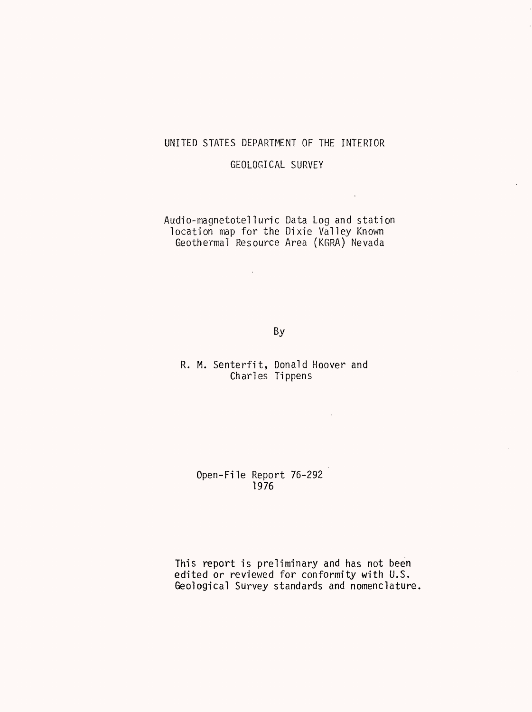## UNITED STATES DEPARTMENT OF THE INTERIOR

GEOLOGICAL SURVEY

Audio-magnetoteTIuric Data Log and station location map for the Dixie Valley Known Geothermal Resource Area (KGRA) Nevada

 $\mathcal{L}^{\text{max}}_{\text{max}}$  and  $\mathcal{L}^{\text{max}}_{\text{max}}$ 

 $\sim 10^7$ 

By

R. M. Senterfit, Donald Hoover and Charles Tippens

 $\sim 10^7$ 

Open-File Report 76-292 1976

This report is preliminary and has not been edited or reviewed for conformity with U.S. Geological Survey standards and nomenclature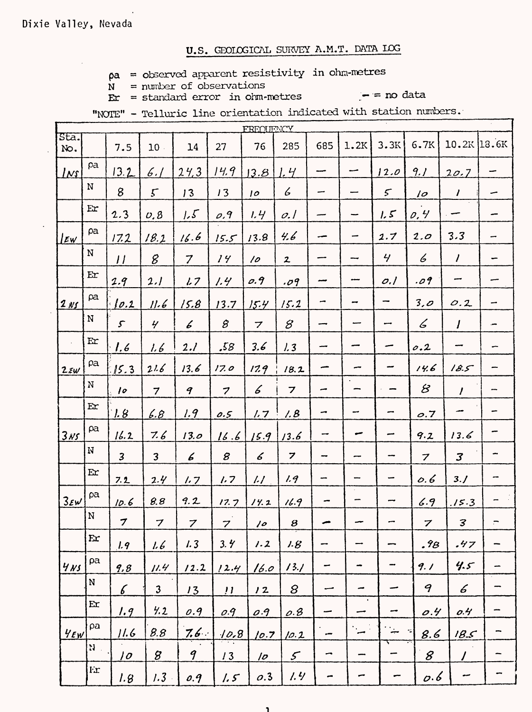$pa = observed$  apparent resistivity in ohm-metres

 $N =$  number of observations  $Er = standard error in \\ oirm-metres$ 

 $-$  = no data

"NOTE" - Telluric line orientation indicated with station numbers.

|                         |              |                         |                            |                  |                         | FREOLIENCY               |                               |      |                          |               |                             |                          |         |
|-------------------------|--------------|-------------------------|----------------------------|------------------|-------------------------|--------------------------|-------------------------------|------|--------------------------|---------------|-----------------------------|--------------------------|---------|
| Sta.<br>No.             |              | 7.5                     | 10                         | 14               | 27                      | 76                       | 285                           | 685  | 1.2K                     | 3.3K          | 6.7K                        | 10.2K 18.6K              |         |
| $L$ rs                  | pa           | 13.2                    | 6.1                        | 24,3             | 14.9                    | 3.8                      | 1.4                           |      | مسہ                      | 12.0          | 9.1                         | 20.7                     | -       |
|                         | $\mathbf N$  | 8                       | $5\overline{)}$            | 13               | 13                      | 10                       | 6                             | --   |                          | $\mathcal{L}$ | 10                          | $\boldsymbol{l}$         | ~       |
|                         | Ex           | 2.3                     | $\nu$ , $\beta$            | 1.5              | $\rho$ ,9               | 1.4                      | $\mathcal{O}$ . $\mathcal{I}$ | --   | -                        | 1.5           | 0.4                         |                          | -       |
| Ew                      | ρa           | 17.2                    | 18.2                       | 16.6             | 15.5                    | 13.8                     | 4.6                           | --   | -                        | 2.7           | 2.0                         | 3.3                      | -       |
|                         | ${\bf N}$    | $\boldsymbol{\mu}$      | 8                          | $\overline{7}$   | 14                      | 10                       | $\mathbf{z}$                  |      |                          | 4/            | 6                           | $\overline{I}$           | <b></b> |
|                         | Er           | 2.9                     | 2.1                        | 1.7              | 1.4                     | 0.9                      | .09                           |      |                          | 0.1           | .09                         | --                       |         |
| $2$ NS                  | pa           | $\lfloor 0.2 \rfloor$   | 11.6                       | 15.8             | 13.7                    | 15.4                     | 15.2                          | ÷    | -                        | ⊷             | 3,0                         | 0.2                      | -       |
|                         | ${\bf N}$    | $\mathcal{S}$           | $\frac{1}{2}$              | 6                | $\mathcal{B}$           | $\overline{\phantom{a}}$ | 8                             | --   |                          | مسد           | 6                           | $\overline{I}$           | Ĵ.      |
|                         | Er           | $\frac{\theta}{\theta}$ | 1. L                       | 2.l              | .58                     | 3.6                      | 1.3                           | ---  |                          |               | 0.2                         |                          |         |
| $2 \varepsilon w$       | $\rho$ a     | 15.3                    | 21.6                       | 13.6             | 17.0                    | 17.9                     | 18.2                          |      |                          |               | 14.6                        | 18.5                     | ļ       |
|                         | N            | 10                      | $\overline{7}$             | $\boldsymbol{q}$ | $\overline{z}$          | 6                        | $\overline{\mathbf{z}}$       | ÷    |                          |               | $\cal B$                    | $\prime$                 | -       |
|                         | Ex           | 1.8                     | <u>6.8</u>                 | 1.9              | 0.5                     | 1.7                      | 1.8                           | ∽    | -                        |               | $\overline{\mathcal{O}}$ .7 |                          |         |
| <u>3NS</u>              | $\rho a$     | 16.2                    | 7.6                        | 13.0             | 16.6                    | 15.9                     | 13.6                          | -    | سے                       | مسر           | 9.2                         | 13.6                     | ÷       |
|                         | N            | $\overline{\mathbf{3}}$ | 3                          | 6                | 8                       | 6                        | $\boldsymbol{z}$              | -    |                          |               | $\boldsymbol{7}$            | $\overline{\mathcal{S}}$ | -       |
|                         | Er           | 7.2                     | 2.4                        | 1.7              | 1.7                     | $\overline{L}$           | 1.9                           | -    |                          | ÷             | 0.6                         | 3.1                      |         |
| $3 \epsilon \mathsf{w}$ | pa           | 10.6                    | 8.8                        | 9.2              | 17.7                    | 14.2                     | 16.9                          |      |                          |               | 6.9                         | .15.3                    |         |
|                         | N            | 7                       | $\boldsymbol{\mathcal{I}}$ | $\boldsymbol{z}$ | $\overline{\mathbf{z}}$ | 10                       | $\boldsymbol{s}$              |      |                          |               | $\boldsymbol{z}$            | 3                        |         |
|                         | $\mathbf{E}$ | 1.9                     | 1.6                        | 1.3              | 3.4'                    | 1.2                      | 1.8                           |      | -                        |               | .98                         | .47                      |         |
| $4$ NS                  | ρa           | 9,8                     | 11.4                       | 12.2             | 12.4                    | 16.0                     | 13.1                          | ÷    | $\overline{\phantom{a}}$ | -             | 9.1                         | 4.5                      |         |
|                         | N            | $\sqrt{6}$              | $\mathfrak{Z}$             | 13               | $\boldsymbol{\mu}$      | 12                       | 8                             | مس   | -                        | -             | 9                           | 6                        |         |
|                         | $E$ r        | 1.9                     | 4.2                        | 0.9              | O.9                     | 0.9                      | 0.8                           | سب   | $\bullet$<br>-           | -             | O.4                         | 0.4                      |         |
| $4$ EW                  | ρa           | 11.6                    | 8.8                        | 7.6%             | 10.8                    | 10.7                     | 10.2                          | بعده | $\overline{\phantom{a}}$ | --            | 8.6                         | 18.5                     | -       |
|                         | N.           | 10                      | $\boldsymbol{\mathcal{B}}$ | $\boldsymbol{q}$ | 13                      | $\sqrt{2}$               | $\mathcal{S}$                 | ∽    | ---                      |               | 8                           | $\prime$                 |         |
|                         | <b>Fr</b>    | 1.8                     | 1.3                        | 0.9              | 1.5                     | 0.3                      | 1.4                           | ÷    | -                        |               | 0.6                         | سہ                       |         |

<sup>1</sup>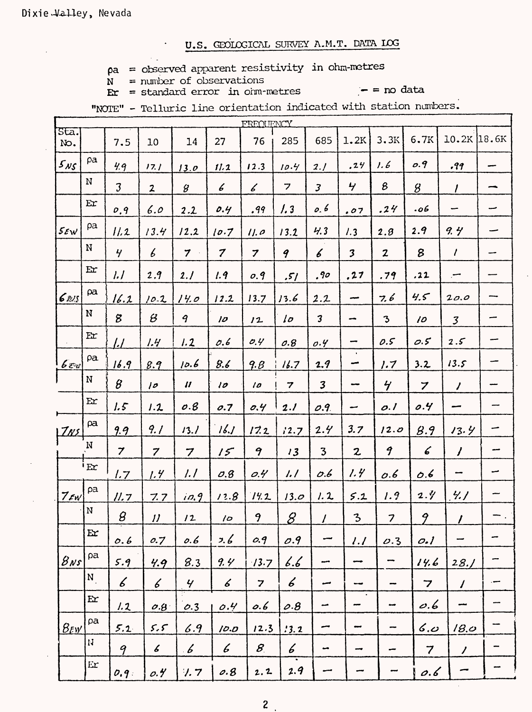$pa = observed apparent resistivity in ohm-metres$ 

 $N =$  number of observations  $Fr = standard error in cmm-metres$ 

 $-$  = no data

"NOTE" - Telluric line orientation indicated with station numbers.

|                    |                            |                             |                            |                            |                  | FREQUENCY                   |                          |                         |                          |                          |                         |                     |       |
|--------------------|----------------------------|-----------------------------|----------------------------|----------------------------|------------------|-----------------------------|--------------------------|-------------------------|--------------------------|--------------------------|-------------------------|---------------------|-------|
| Sta.<br>No.        |                            | 7.5                         | 10                         | 14                         | 27               | 76                          | 285                      | 685                     | 1.2K                     | 3.3K                     | 6.7K                    | 10.2K               | 18.6K |
| $5_{NS}$           | pa                         | 4.9                         | 17.1                       | 13.0                       | 11.2             | 12.3                        | 10.4                     | 2.1                     | .24                      | 1.6                      | 0.9                     | .99                 |       |
|                    | $\mathbf N$                | $\mathfrak{Z}$              | $\mathbf{z}$               | $\mathcal{G}$              | 6                | $\mathcal{L}_{\mathcal{C}}$ | 7                        | $\overline{\mathbf{3}}$ | $\mathbf{z}$             | 8                        | $\mathcal{G}$           | $\prime$            | -     |
|                    | Er                         | 0.9                         | 6.0                        | 2.2                        | 0.4              | .99                         | $\frac{1}{3}$            | 0, 6                    | .07                      | .24                      | 06.                     | -                   | -     |
| $5 \varepsilon$ W  | pa                         | 11.2                        | 13.4                       | 12.2                       | 10.7             | 11.0                        | 13.2                     | 4.3                     | 1.3                      | 2.8                      | 2.9                     | 9.4                 |       |
|                    | N                          | $\overline{y}$              | $\boldsymbol{\mathit{6}}$  | $\mathcal I$               | $\boldsymbol{7}$ | $\overline{z}$              | 9                        | 6                       | $\mathfrak z$            | $\boldsymbol{z}$         | 8                       | $\prime$            | -     |
|                    | $\mathbf{E}$               | l.l                         | 2.9                        | 2.1                        | 1.9              | 0.9                         | ,51                      | ,90                     | .27                      | .79                      | .22                     |                     |       |
| 6ns                | $\alpha$                   | 16.2                        | 10.2                       | 14.0                       | 12.2             | 13.7                        | 13.6                     | 2.2                     | مبب                      | 7.6                      | 4.5                     | 20.0                |       |
|                    | ${\bf N}$                  | 8                           | $\mathcal B$               | 9                          | $\overline{\nu}$ | 12                          | 1 <sub>o</sub>           | $\overline{\mathbf{3}}$ | ÷                        | $\mathfrak{Z}$           | 10                      | $\mathfrak{Z}$      |       |
|                    | Ex                         | <u>l.L</u>                  | 1.4                        | 1.2                        | 0.6              | O.4                         | 0.8                      | O.4                     | ÷                        | 0.5                      | O.5                     | 2.5                 |       |
| $6$ $\epsilon$ $w$ | pa.                        | 16.9                        | 8.9                        | 10.6                       | 8.6              | 9.8                         | 16.7                     | 1.9                     | ÷                        | 1.7                      | 3.2                     | 13.5                |       |
|                    | ${\bf N}$                  | $\pmb{\mathcal{B}}$         | 10                         | $\boldsymbol{\mathcal{U}}$ | 10               | 10                          | $\overline{\mathbf{z}}$  | $\mathbf{3}$            | $\overline{\phantom{a}}$ | $\frac{1}{\sqrt{2}}$     | $\overline{z}$          | $\prime$            | ÷,    |
|                    | Er                         | 1.5                         | 1.2                        | 0.8                        | 0.7              | 0.4                         | 2.1                      | O.9                     | -                        | 0.1                      | 0.4                     | --                  |       |
| Zxz                | $\alpha$                   | 9.9                         | 9.1                        | 13.1                       | 16J              | 17.2                        | 12.7                     | 2.4                     | 3.7                      | 12.0                     | 8.9                     | 13.4                | -     |
|                    | N                          | $\overline{7}$              | $\boldsymbol{7}$           | 7                          | 15               | 9                           | 13                       | $\overline{\mathbf{3}}$ | $\boldsymbol{z}$         | 9                        | 6                       | $\overline{\prime}$ |       |
|                    | E                          | 1.7                         | 1.4                        | 1.1                        | O.8              | O.4                         | 1.1                      | 0.6                     | 1.4                      | O.6                      | 0.6                     | --                  |       |
| $7$ $\epsilon$ w   | pa                         | <u> 11. 7</u>               | 7.7                        | 10.9                       | 12.8             | 14.2                        | 13.0                     | 1.2                     | 5.2                      | 1.9                      | $2.$ $\%$               | 4.1                 |       |
|                    | ${\bf N}$                  | $\pmb{\beta}$               | $\boldsymbol{\mathcal{U}}$ | 12                         | 10               | 9                           | $\overline{\mathcal{S}}$ | $\prime$                | $\mathbf{3}$             | $\overline{\phantom{a}}$ | 9                       | $\prime$            |       |
|                    | E x                        | 0.6                         | 0.7                        | 0.6                        | 2.6              | 0.9                         | O.9                      | سب                      | l.l                      | O.3                      | O.1                     |                     |       |
| $8$ Ns             | ρa                         | 5.9                         | 4.9                        | 8.3                        | 9.4'             | 13.7                        | b.b                      | --                      | ⊷                        |                          | 14.6                    | 28.1                |       |
|                    | $\mathbf{N}_{\perp}$       | $\mathcal{L}_{\mathcal{C}}$ | 6                          | Ч                          | 6                | $\overline{z}$              | 6                        |                         | --                       |                          | $\overline{7}$          | $\overline{I}$      | ---   |
|                    | $\mathbf{E}$               | 1.2                         | O.8                        | O.3                        | 0.4              | 0.6                         | O.8                      | مب                      | $\bullet$                | --                       | 0.6                     | يبعب                |       |
| $8$ EW             | ρa                         | 5.2                         | 5.5                        | 6.9                        | 10.0             | 12.3                        | 13.2                     | سہ                      | سہ                       |                          | 6.0                     | 18.0                |       |
|                    | $\mathbf{N}$               | 9                           | $\boldsymbol{\mathcal{L}}$ | $\mathcal{L}$              | 6                | $\mathcal{B}_{\mathbb{R}}$  | 6                        | ÷                       | $\overline{\phantom{a}}$ | -                        | $\overline{\mathbf{7}}$ | $\prime$            |       |
|                    | $\mathop{\rm Er}\nolimits$ | 0.9:                        | 0.4                        | $\sqrt{7}$                 | 0.8              | 2.2                         | 2.9                      |                         |                          |                          | 0.6                     |                     |       |

 $\mathbf{2}$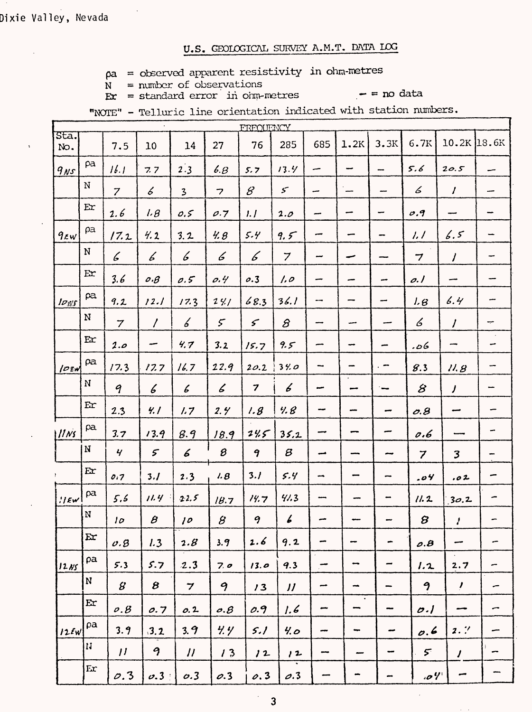$pa = observed$  apparent resistivity in ohm-metres

 $N =$  number of observations  $\mathbf{E} \mathbf{r} = \text{standard error}$  in order standard

 $-$  = no data

"NOTE" - Telluric line orientation indicated with station numbers.

|                                          |              |                             |                            |                            |                             | FREOUENCY               |                            |                          |                                       |                          |                          |                             |                          |
|------------------------------------------|--------------|-----------------------------|----------------------------|----------------------------|-----------------------------|-------------------------|----------------------------|--------------------------|---------------------------------------|--------------------------|--------------------------|-----------------------------|--------------------------|
| Sta.<br>No.                              |              | 7.5                         | 10                         | 14                         | 27                          | 76                      | 285                        | 685                      | 1.2K                                  | 3.3K                     | 6.7K                     | $10.2K$ 18.6K               |                          |
| $9$ <sub>NS</sub>                        | pa           | 16.1                        | 7.7                        | 2.3                        | 6.8                         | 5.7                     | 13.4                       | سب                       | -                                     | <b></b>                  | 5.6                      | 20.5                        | -                        |
|                                          | N            | $\overline{z}$              | 6                          | $\overline{\mathbf{3}}$    | $\overline{\phantom{a}}$    | $\mathscr{B}$           | $\mathcal{S}$              | ىپ                       | $\overline{\phantom{0}}$              | --                       | 6                        | $\prime$                    | -                        |
|                                          | Ex           | 2.6                         | 1.8                        | 0.5                        | $\rho.7$                    | 1.1                     | 2.0                        | --                       | ÷,                                    | $\overline{\phantom{0}}$ | O.9                      | --                          | $\overline{\phantom{a}}$ |
| $9$ EW                                   | $\rho$ a     | 17.2                        | 4.2                        | 3.2                        | 4.8                         | 5.4                     | 9,5                        | ---                      | -                                     | -                        | 1.1                      | 6.5                         | -                        |
|                                          | $\mathbf N$  | $\mathcal{L}_{\mathcal{L}}$ | 6                          | 6                          | 6                           | 6                       | $\overline{z}$             | بب                       | -                                     |                          | $\overline{\phantom{a}}$ | $\prime$                    | ÷                        |
|                                          | E <b>r</b>   | 3.6                         | $o.\beta$                  | 0.5                        | 0.4                         | 0.3                     | 1.0                        |                          |                                       | -                        | o. I                     | -                           |                          |
| $I_{\mathcal{O},\mathcal{Y}\mathcal{S}}$ | pa           | 9.2                         | 12.1                       | 17.3                       | 241                         | 68.3                    | 36.1                       |                          |                                       | -                        | 1.8                      | 6.4                         | --                       |
|                                          | ${\bf N}$    | $\overline{7}$              | $\prime$                   | Ъ                          | $\mathcal{F}$               | $\mathcal{L}$           | $\mathcal{S}$              | ---                      |                                       | سب                       | 6                        | $\overline{I}$              | ÷                        |
|                                          | Ex           | 2.o                         | ÷                          | 4.7                        | 3.2                         | 15.7                    | 9.5                        | ~                        |                                       | -                        | کە.                      | -                           | -                        |
| $10$ EW                                  | pa           | 17.3                        | 17.7                       | 16.7                       | 22.9                        | 20.2                    | 34.0                       | -                        |                                       | . –                      | 8.3                      | 11.8                        | --                       |
|                                          | $\bf N$      | 9                           | 6                          | $\boldsymbol{\mathcal{L}}$ | $\mathcal{L}_{\mathcal{L}}$ | $\overline{\mathbf{z}}$ | 6                          | مين                      |                                       | i waa                    | $\mathcal{B}$            | $\overline{I}$              |                          |
|                                          | Er           | 2.3                         | 4.1                        | 1.7                        | 2.4                         | 1.8                     | 4.8                        | --                       |                                       | ÷                        | O.8                      | مسہ                         |                          |
| 11Ns                                     | pa           | 3.7                         | 13.9                       | 8.9                        | 18.9                        | 245                     | 35.2                       | --                       |                                       |                          | 0.6                      |                             | $\overline{\phantom{a}}$ |
|                                          | N            | $\mathbf{y}$                | $\mathcal{F}$              | 6                          | 8                           | 9                       | $\boldsymbol{\beta}$       | مب                       |                                       |                          | $\overline{z}$           | $\overline{\mathbf{3}}$     | -                        |
|                                          | Ex           | 0.7                         | 3.1                        | 2.3                        | 1.8                         | 3.1                     | 5.4                        | $\overline{\phantom{a}}$ |                                       |                          | .04                      | .02                         |                          |
| $  $ Ew                                  | ρa           | 5.5                         | 11.4                       | 2.2.5                      | 18.7                        | 14.7                    | 41.3                       |                          |                                       |                          | 11.2                     | 30.2                        | ∽                        |
|                                          | ${\bf N}$    | 10 <sub>2</sub>             | $\boldsymbol{\beta}$       | 10                         | $\pmb{\mathcal{B}}$         | 9                       | 6                          |                          |                                       |                          | 8                        | $\mathcal{L}_{\mathcal{L}}$ |                          |
|                                          | $\mathbf{E}$ | 0.8                         | 1.3                        | 2.8                        | 3.9                         | 2.6                     | 9.2                        | m                        | $\overline{\phantom{a}}$              | $\blacksquare$           | $\rho$ . $\beta$         | ÷,                          | ÷                        |
| 12NS                                     | ρa           | 5.3                         | 5.7                        | 2.3                        | 7.0                         | 13.0                    | 9.3                        | ÷,                       | -                                     | ÷                        | 1.2                      | 2.7                         | ∽                        |
|                                          | $\mathbf N$  | $\mathcal{B}$               | $\boldsymbol{\mathcal{B}}$ | $\overline{\mathbf{z}}$    | 9                           | 13                      | $\boldsymbol{\mathcal{U}}$ | $\overline{\phantom{a}}$ | $\blacksquare$                        | -                        | 9                        | Ţ                           | -                        |
|                                          | E x          | o.8                         | 0.7                        | 0.2                        | $o.\beta$                   | 0.9                     | 1.6                        | بجبيع                    | $\bullet$<br>$\overline{\phantom{a}}$ | me                       | O.1                      |                             | ∽                        |
| 12FW                                     | ρa           | 3.9                         | 3.2                        | 3.9                        | 4.4'                        | 5.1                     | 4.0                        |                          | $\overline{\phantom{a}}$              | ÷                        | 0.6                      | 2.7'                        | -                        |
|                                          | $\mathbf{H}$ | $\overline{11}$             | 9                          | $\boldsymbol{\mu}$         | 13                          | 12                      | 12                         | ---                      | $\overline{\phantom{a}}$              | $\overline{\phantom{a}}$ | $5^{\circ}$              | $\prime$                    | -                        |
|                                          | Ex           | 0.3                         | 0.3 <sup>°</sup>           | $\sigma$ .3                | 0.3                         | 0.3                     | $\rho$ .3                  |                          | ÷                                     | -                        | . oV                     | سہ                          |                          |

 $\overline{\mathbf{3}}$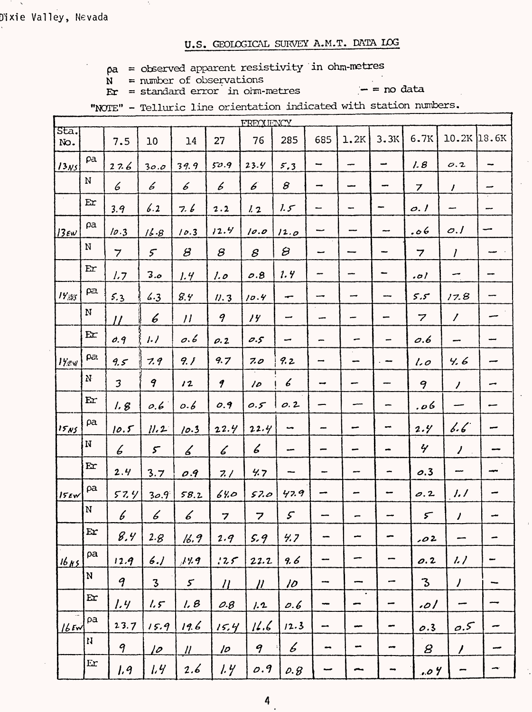$pa = observed$  apparent resistivity in ohm-metres

 $N =$  number of observations

 $Fr = standard error$  in ohm-metres

 $-$  = no data

|                  |                           |                  |                         |                          |                   | FREQUENCY        |                            |                          |                                                                                                                                                                                                                                               |                          |                            |                          |                          |
|------------------|---------------------------|------------------|-------------------------|--------------------------|-------------------|------------------|----------------------------|--------------------------|-----------------------------------------------------------------------------------------------------------------------------------------------------------------------------------------------------------------------------------------------|--------------------------|----------------------------|--------------------------|--------------------------|
| Sta.<br>No.      |                           | 7.5              | 10                      | 14                       | 27                | 76               | 285                        | 685                      | 1.2K                                                                                                                                                                                                                                          | 3.3K                     | 6.7K                       | 10.2K 18.6K              |                          |
| 13N <sub>5</sub> | pa                        | 27.6             | 30.0                    | 39.9                     | 50.9              | 23.4             | 5.3                        | ⊷                        | --                                                                                                                                                                                                                                            | ÷                        | 1.8                        | O.2                      | -                        |
|                  | $\mathbf N$               | 6                | 6                       | 6                        | 6                 | 6                | $\bm{\beta}$               | --                       |                                                                                                                                                                                                                                               | --                       | $\overline{z}$             | $\prime$                 | مسد                      |
|                  | Er                        | 3.9              | 6.2                     | 7. b                     | 2.2               | 1.2              | 1.5                        |                          | ۰.,                                                                                                                                                                                                                                           | -                        | o.1                        | -                        | --                       |
| $13$ EW          | ρa                        | 10.3             | 16.8                    | 10.3                     | 12.4              | 10.0             | 12.0                       | ∽                        |                                                                                                                                                                                                                                               | $\overline{\phantom{a}}$ | .06                        | O.1                      | --                       |
|                  | N                         | $\overline{7}$   | 5 <sup>2</sup>          | $\mathcal{B}$            | $\mathcal{S}$     | $\mathcal{S}$    | $\boldsymbol{\varnothing}$ | ÷                        |                                                                                                                                                                                                                                               | ÷                        | $\overline{7}$             | $\prime$                 |                          |
|                  | Er                        | 1.7              | 3.0                     | 1.4                      | 1.0               | O.8              | 1.4                        | --                       |                                                                                                                                                                                                                                               | m.                       | , 0)                       | ∽                        |                          |
| 17/55            | pa                        | 5.3              | 6.3                     | 8.4                      | 11.3              | 10.4             | ÷                          | ⊷                        |                                                                                                                                                                                                                                               | ---                      | 5.5                        | 17.8                     |                          |
|                  | N                         | $\overline{U}$   | 6                       | $\overline{11}$          | 9                 | 14               | ÷                          | --                       |                                                                                                                                                                                                                                               | -                        | 7                          | $\overline{\prime}$      |                          |
|                  | Er                        | 0.9              | 1.7                     | 0.6                      | $\rho.2$          | 0.5              | ÷                          | -                        |                                                                                                                                                                                                                                               | -                        | O.6                        | $\overline{\phantom{0}}$ |                          |
| $17$ ev          | ρa.                       | 9.5              | 7.9                     | 9.1                      | 9.7               | 7.0              | 9.2                        | --                       |                                                                                                                                                                                                                                               |                          | 1.0                        | Ч. 6                     |                          |
|                  | ${\bf N}$                 | $\overline{3}$   | 9                       | 12                       | 9                 | 10               | 6                          | ÷                        |                                                                                                                                                                                                                                               |                          | 9                          | $\overline{\prime}$      | ÷                        |
|                  | Er                        | 1.8              | 0.6                     | o.6                      | 0.9               | 0.5              | 0.2                        |                          |                                                                                                                                                                                                                                               | -                        | 6، .                       | --                       | مسم                      |
| 15N5             | pa                        | 10.5             | 11.2                    | 10.3                     | 22.4              | 22.4             | $\overline{\phantom{a}}$   | $\overline{\phantom{a}}$ | -                                                                                                                                                                                                                                             |                          | 2.4                        | 6.6                      | سب                       |
|                  | N                         | 6                | $\mathcal{F}$           | 6                        | 6                 | 6                | -                          | -                        |                                                                                                                                                                                                                                               | <b></b>                  | $\gamma$                   | $\mathcal{L}$            |                          |
|                  | Er                        | 2.4              | 3.7                     | 0.9                      | 7.1               | 4.7              |                            | -                        |                                                                                                                                                                                                                                               | -                        | 0.3                        | ÷                        | ⊷                        |
| 15km             | ρa                        | 57.4             | 30.9                    | 58.2                     | 64.0              | 57.0             | 47.9                       | -                        |                                                                                                                                                                                                                                               |                          | 0.2                        | 1.1                      |                          |
|                  | N                         | 6                | 6                       | 6                        | 7                 | 7                | $\boldsymbol{\mathcal{S}}$ |                          |                                                                                                                                                                                                                                               |                          | $\mathcal{F}$              | $\prime$                 |                          |
|                  | Er                        | 8.4              | 2.8                     | 16.9                     | 2.9               | 5.9              | 4.7                        |                          | -                                                                                                                                                                                                                                             | ÷                        | .02                        | ÷,                       |                          |
| 16ns             | ρa                        | 12.9             | 6.1                     | 14.9                     | 125               | 22.2             | 9.6                        | --                       | ÷                                                                                                                                                                                                                                             | $\overline{\phantom{0}}$ | 0.2                        | $\frac{1}{2}$            | $\overline{\phantom{a}}$ |
|                  | N                         | $\boldsymbol{q}$ | $\overline{\mathbf{3}}$ | $\mathcal{F}$            | $\eta$            | $\mu$            | 10                         | --                       | -                                                                                                                                                                                                                                             | ÷                        | $\mathbf{3}$               | $\prime$                 |                          |
|                  | E                         | 1.4              | $1.5^{\circ}$           | 1.8                      | O.B               | 1.2              | 0.6                        | ÷                        | $\bullet$<br>en en de la grande de la grande de la grande de la grande de la grande de la grande de la grande de la grande d<br>De la grande de la grande de la grande de la grande de la grande de la grande de la grande de la grande de la | -                        | ا ہ                        |                          |                          |
| $16$ EW          | pa                        | 23.7             | 15.9                    | 19.6                     | 15.4              | 16.6             | 12.3                       | -                        | -                                                                                                                                                                                                                                             | $\overline{\phantom{a}}$ | 0.3                        | 0.5                      |                          |
|                  | $\boldsymbol{\mathsf{H}}$ | 9                | <u> 10 </u>             | $\overline{\mathcal{U}}$ | $\overline{\rho}$ | $\boldsymbol{q}$ | 6                          | $\overline{\phantom{a}}$ | $\overline{\phantom{a}}$                                                                                                                                                                                                                      | $\overline{\phantom{a}}$ | $\boldsymbol{\mathcal{S}}$ | $\prime$                 |                          |
|                  | Er                        | 1.9              | 1.4                     | 2.6                      | 1.4               | O.9              | $\rho$ . $\beta$           | سہ                       | -                                                                                                                                                                                                                                             |                          | .04                        |                          | ÷,                       |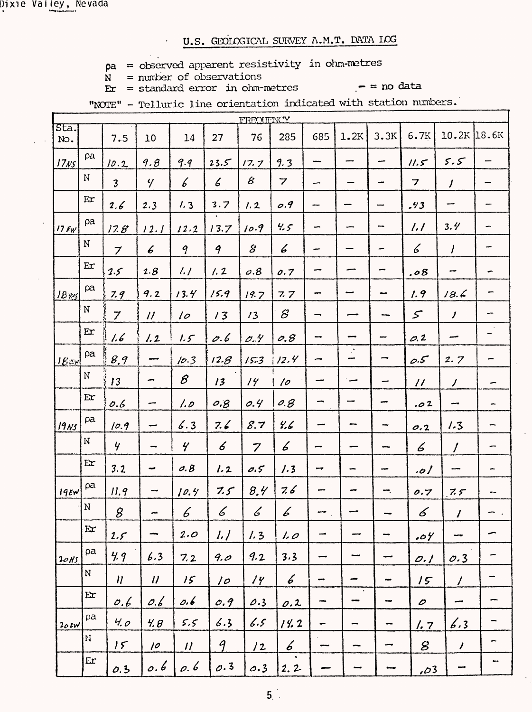Dixie Valley, Nevada

# U.S. GEOLOGICAL SURVEY A.M.T. DATA LOG

- $pa = observed apparent resistivity in ohm-meters$ <br> $N = number of observations$
- $\mathbf{E} \mathbf{r}$  = standard error in ohm-metres

 $\ddot{\phantom{a}}$ 

 $-$  = no data

|  |  | "NOTE" - Telluric line orientation indicated with station numbers. |  |  |
|--|--|--------------------------------------------------------------------|--|--|
|  |  |                                                                    |  |  |

|                  |                            |                            |                            |                            |                      | FREOUENCY      |                                                           |                          |                          |                          |                            |                          |    |
|------------------|----------------------------|----------------------------|----------------------------|----------------------------|----------------------|----------------|-----------------------------------------------------------|--------------------------|--------------------------|--------------------------|----------------------------|--------------------------|----|
| sta.<br>No.      |                            | 7.5                        | 10                         | 14                         | 27                   | 76             | 285                                                       | 685                      | 1.2K                     | 3.3K                     | 6.7K                       | 10.2K 18.6K              |    |
| 17 <sub>NS</sub> | pa                         | 10.2                       | 9.8                        | 9.9                        | 23.5                 | 17.7           | 9.3                                                       |                          |                          | --                       | 11.5                       | 5.5                      |    |
|                  | $\mathbf N$                | $\overline{\mathbf{3}}$    | $\frac{1}{2}$              | 6                          | $\boldsymbol{\zeta}$ | 8              | $\overline{z}$                                            | -                        |                          | --                       | $\overline{\mathbf{z}}$    | $\overline{J}$           | -- |
|                  | Er                         | 2.6                        | 2.3                        | 1, 3                       | 3.7                  | 1.2            | O.9                                                       |                          |                          | ÷                        | .43                        |                          |    |
| $17$ EW          | ρa                         | 17.8                       | 12.1                       | 12.2                       | 13.7                 | 10.9           | 4.5                                                       | ÷                        |                          | --                       | 1.1                        | 3.4                      |    |
|                  | ${\bf N}$                  | $\boldsymbol{\mathcal{I}}$ | 6                          | 9                          | 9                    | 8              | 6                                                         | -                        |                          |                          | 6                          | I                        |    |
|                  | Er                         | 2.5                        | 2.8                        | $\frac{1}{2}$              | 1.2                  | O.B            | 0.7                                                       |                          |                          | ÷                        | .08                        | ÷                        |    |
| $IB_{NS}$        | pa                         | 7.9                        | 9.2                        | 13.4                       | 15.9                 | 19.7           | 7.7                                                       | ÷                        |                          |                          | 1.9                        | 18.6                     |    |
|                  | ${\bf N}$                  | $\overline{z}$             | $\boldsymbol{\mathcal{U}}$ | 10                         | 13                   | 13             | $\mathcal{S}% _{M_{1},M_{2}}^{\alpha,\beta}(\varepsilon)$ |                          |                          |                          | $\mathcal{S}$              | $\prime$                 |    |
|                  | Er                         | 1.6                        | 1.2                        | 1.5                        | 0.6                  | 0.4            | 0.8                                                       |                          |                          |                          | O.2                        | --                       | -  |
| $1E\exp$         | pa                         | 8.9                        | <u>mme</u>                 | 10.3                       | 12.8                 | 15.3           | 12.4                                                      | -                        | $\mathcal{L}$            | -                        | c.5                        | 2.7                      |    |
|                  | N                          | 13                         | ∽                          | $\mathcal B$               | 13                   | 14             | 10                                                        |                          |                          |                          | $\boldsymbol{\mathcal{U}}$ | $\overline{\phantom{a}}$ |    |
|                  | Er                         | 0.6                        | ÷                          | 1.0                        | 0.8                  | 0.4            | 0.8                                                       | -                        |                          |                          | .02                        | ÷                        |    |
| 19ns             | pa                         | 10.9                       | سہ                         | 6.3                        | 7.6                  | 8.7            | 4.6                                                       |                          |                          |                          | O.2                        | 1.3                      |    |
|                  | N                          | $\frac{1}{\sqrt{2}}$       |                            | $\frac{1}{\sqrt{2}}$       | 6                    | $\overline{z}$ | 6                                                         |                          |                          |                          | 6                          | $\overline{I}$           |    |
|                  | Er                         | 3.2                        |                            | 0.8                        | 1.2                  | 0.5            | 1.3                                                       | ⊷                        |                          |                          | .o/                        |                          |    |
| 195w             | ρa                         | 11.9                       | ⊷                          | 10.4                       | 7.5                  | 8,4            | 7.6                                                       | --                       |                          | ⊷.                       | 0.7                        | 7.5                      |    |
|                  | ${\bf N}$                  | 8                          | m                          | 6                          | 6                    | 6              | 6                                                         |                          |                          |                          | 6                          | $\prime$                 |    |
|                  | $\mathop{\rm Er}\nolimits$ | $2.5^{2}$                  |                            | 2.0                        | $\frac{1}{2}$        | 1.3            | 1.0                                                       | -                        |                          |                          | .04                        |                          |    |
| 20N <sub>5</sub> | ρa                         | 4.9                        | 6.3                        | 7.2                        | 9.0                  | 9.2            | 3.3                                                       |                          | -                        | $\overline{\phantom{a}}$ | O.1                        | 0.3                      | -  |
|                  | ${\bf N}$                  | $\boldsymbol{\eta}$        | $\boldsymbol{\eta}$        | 15                         | $\sqrt{2}$           | 14'            | 6                                                         | $\overline{\phantom{a}}$ | حصر                      | $\overline{\phantom{a}}$ | 15                         | $\prime$                 | ∽  |
|                  | E                          | 0.6                        | 0.6                        | 0.6                        | o.9                  | 0.3            | 0.2                                                       | -                        | $\bullet$<br>pines       | $\overline{\phantom{a}}$ | $\boldsymbol{\mathcal{O}}$ | -                        |    |
| 20EV             | ρa                         | Ч. о                       | 4.8                        | 5.5                        | 6.3                  | 6.5            | 14.2                                                      | $\overline{\phantom{a}}$ | ∽                        | $\overline{\phantom{a}}$ | <u>l. 7</u>                | 6.3                      |    |
|                  | $\boldsymbol{\mathcal{H}}$ | 15                         | 10                         | $\boldsymbol{\mathcal{U}}$ | 9                    | 12             | 6                                                         | ---                      | $\overline{\phantom{a}}$ | يسب                      | 8                          | $\prime$                 |    |
|                  | Er                         | 0.3                        | 0.6                        | 0.6                        | $\sigma$ . 3         | 0.3            | 2.2                                                       |                          |                          | سب                       | .03                        |                          |    |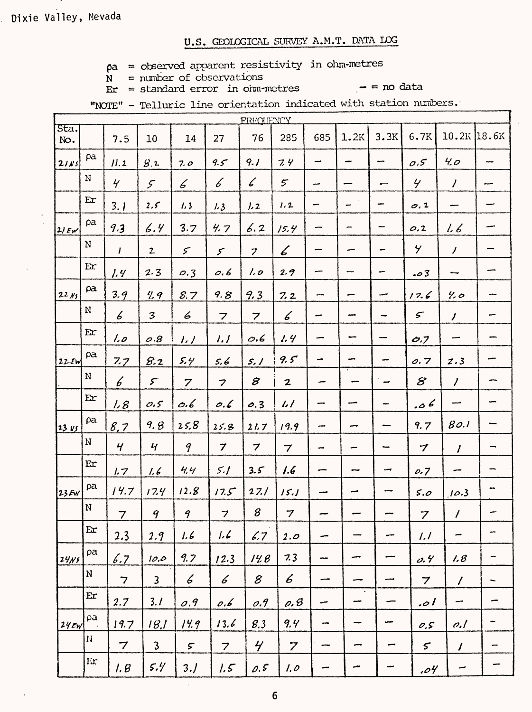Dixie Valley, Mevada

#### U.S. GEOLOGICAL SURVEY A.M.T. DATA LOG

- $pa = observed$  apparent resistivity in ohm-metres
- $N =$  number of observations
- $\mathbf{E} \mathbf{r} = \text{standard error in cim-metres}$  = no data
	-

|             |              |                          |                         |                             |                            | FRECUENCY                   |                          |                          |                          |                          |                          |                     |                          |
|-------------|--------------|--------------------------|-------------------------|-----------------------------|----------------------------|-----------------------------|--------------------------|--------------------------|--------------------------|--------------------------|--------------------------|---------------------|--------------------------|
| Sta.<br>No. |              | 7.5                      | 10                      | 14                          | 27                         | 76                          | 285                      | 685                      | 1.2K                     | 3.3K                     | 6.7K                     | $10.2K$ 18.6K       |                          |
| 2111        | pa           | 11.2                     | 8.2                     | 7.0                         | 9.5                        | 9.1                         | 7.4                      | $\rightarrow$            | ÷,                       | $\overline{\phantom{a}}$ | O.S                      | 40                  |                          |
|             | N            | $\frac{1}{2}$            | $\mathcal{F}$           | 6                           | 6                          | $\mathcal{L}_{\mathcal{C}}$ | $\mathfrak{S}$           | سد                       |                          | --                       | $\overline{y}$           | $\prime$            | --                       |
|             | Er           | 3.1                      | $2.5^{\circ}$           | 1.3                         | 1.3                        | 1.2                         | 1.2                      | -                        | -                        | -                        | $\sigma$ , 2             | سىم                 |                          |
| 2/EW        | ра           | 9.3                      | 6.4                     | 3.7                         | 4.7                        | 6.2                         | 15.4                     |                          | -                        | --                       | 0, 2                     | 1.6                 |                          |
|             | N            | $\mathbf{I}$             | 2                       | $\mathcal{F}$               | $\mathcal{S}$              | $\overline{z}$              | 6                        | -                        | -                        | -                        | $\overline{y}$           | $\overline{1}$      | --                       |
|             | Er           | 1.4                      | 2.3                     | 0.3                         | 0.6                        | 1.0                         | 2.9                      | --                       | ---                      | -                        | .03                      | --                  | -                        |
| $22, \mu$   | ρa           | 3.9                      | 4.9                     | 8.7                         | 9.8                        | 9.3                         | 7.2                      | --                       | -                        | سب                       | 17.6                     | 4.0                 |                          |
|             | N            | $\boldsymbol{6}$         | 3                       | 6                           | $\overline{z}$             | $\overline{z}$              | $\measuredangle$         | ÷                        |                          | $\overline{\phantom{a}}$ | $\boldsymbol{\varsigma}$ | $\prime$            | -                        |
|             | $E$ r        | 1.0                      | 0.8                     | 1.7                         | 1.1                        | O.6                         | 1.4                      | -                        |                          |                          | O.7                      | --                  |                          |
| 22. Fw      | pa           | 7.7                      | 8.2                     | 5.4                         | 5,6                        | 5.1                         | 9.5                      | -                        |                          | -                        | 0.7                      | 2.3                 |                          |
|             | ${\bf N}$    | $\boldsymbol{6}$         | $\mathcal{F}$           | $\overline{z}$              | $\overline{\mathbf{z}}$    | $\boldsymbol{\mathcal{B}}$  | $\mathbf{z}$             | -                        |                          | $\overline{\phantom{a}}$ | 8                        | $\overline{\prime}$ |                          |
|             | Ex           | 1.8                      | 0.5                     | 0.6                         | 0.6                        | 0.3                         | $\iota\iota$             | --                       |                          | $\overline{\phantom{0}}$ | .06                      | ÷                   | ÷                        |
| $23 \, vs.$ | pa           | 8,7                      | 9.8                     | 25,8                        | 25.8                       | 21.7                        | 19.9                     | ł                        |                          | ---                      | 9.7                      | 80.1                | --                       |
|             | N            | $\overline{y}$           | $\boldsymbol{q}$        | 9                           | $\boldsymbol{\mathcal{I}}$ | $\boldsymbol{\tau}$         | $\overline{\mathbf{z}}$  | -                        | سد                       | $\overline{\phantom{a}}$ | 7                        | $\prime$            | -                        |
|             | Er           | 1.7                      | 1.6                     | 4.4                         | 5.1                        | 3.5                         | 1.6                      |                          |                          | ∽                        | 0.7                      | --                  | -                        |
| 23EW        | pa           | 14.7                     | 17.4                    | 12.8                        | 17.5                       | 27.1                        | 15.1                     |                          | مس                       |                          | 5.0                      | 10.3                | ÷                        |
|             | N            | $\overline{7}$           | 9                       | 9                           | $\overline{\mathbf{z}}$    | 8                           | $\overline{\mathcal{L}}$ |                          |                          |                          | $\overline{z}$           | $\overline{I}$      |                          |
|             | $\mathbf{E}$ | 2.3                      | 2.9                     | 1.6                         | 1.6                        | 6.7                         | 2.0                      | -                        | $\overline{\phantom{a}}$ | --                       | 1.1                      | -                   |                          |
| 24/NS       | ρa           | 6.7                      | 10.0                    | 9.7                         | 12.3                       | 14.8                        | 7.3                      | $\overline{\phantom{a}}$ | -                        |                          | o.4                      | 1.8                 | -                        |
|             | ${\bf N}$    | $\overline{\phantom{a}}$ | $\overline{\mathbf{3}}$ | $\mathcal{L}_{\mathcal{L}}$ | 6                          | $\mathcal{E}$               | 6                        |                          |                          |                          | $\overline{z}$           | $\prime\,$          | $\overline{\phantom{0}}$ |
|             | $\mathbf{E}$ | 2.7                      | 3.1                     | O.9                         | 0.6                        | O.9                         | $\rho$ , $\beta$         | سی                       | $\bullet$<br>ļ           |                          | .01                      | ÷                   | -                        |
| $24$ EW     | ρa           | 19.7                     | 18.1                    | 14.9                        | 13.6                       | 8.3                         | 9.4                      | --                       | ---                      |                          | 0.5                      | c.l                 | -                        |
|             | N            | $\overline{7}$           | $\mathfrak{Z}$          | $\mathcal{F}$               | $\overline{7}$             | $\frac{1}{\sqrt{2}}$        | $\overline{z}$           | amas                     | j                        | سب                       | $\mathcal{S}$            | $\prime$            | -                        |
|             | Er           | 1.8                      | 5.4                     | 3.1                         | 1.5                        | 0.5                         | $\mathcal{L}$            | ببير                     | ÷                        |                          | .04                      | -                   |                          |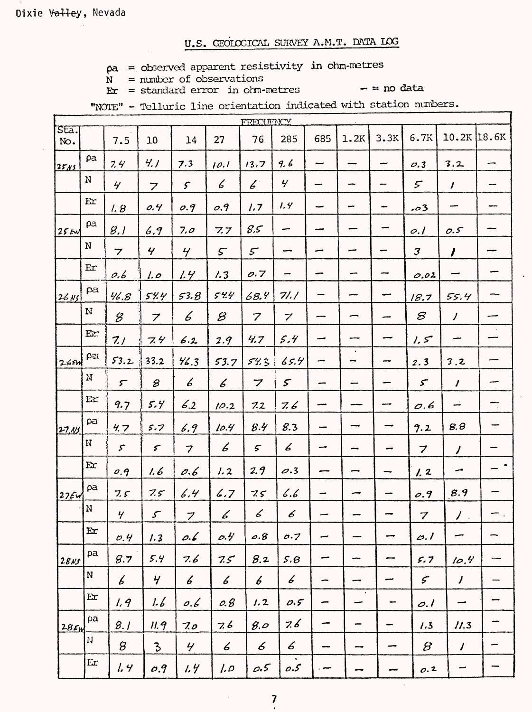Dixie Valley, Nevada

# U.S. GEOLOGICAL SURVEY A.M.T. DATA LOG

 $pa = observed apparent resistivity in ohm-metres$ 

 $N =$  number of observations  $Er = standard error in ohm-metres$ 

 $-$  = no data

"NOTE" - Telluric line orientation indicated with station numbers.

|                  |                        |                                                           |                            |                  |                            | FREQUENCY                  |                  |     |                |                          |                             |                     |                          |
|------------------|------------------------|-----------------------------------------------------------|----------------------------|------------------|----------------------------|----------------------------|------------------|-----|----------------|--------------------------|-----------------------------|---------------------|--------------------------|
| $sta.$<br>No.    |                        | 7.5                                                       | 10                         | 14               | 27                         | 76                         | 285              | 685 | 1.2K           | 3.3K                     | 6.7K                        | $10.2K$ 18.6K       |                          |
| 2585             | pa                     | 7.4                                                       | 411                        | 7.3              | 10.1                       | 13.7                       | 9.6              | --  |                | --                       | O.3                         | 3.2                 | -                        |
|                  | $\mathbf N$            | $\frac{1}{2}$                                             | $\overline{z}$             | $\mathcal{S}$    | 6                          | $\mathcal{L}^{\mathbb{C}}$ | $\mathbf{y}$     | ÷   |                | --                       | $\mathcal{F}$               | $\mathbf{I}$        | --                       |
|                  | Er                     | 1.8                                                       | 0.4                        | 0.9              | O.9                        | 1.7                        | 1.4              |     |                | $\overline{\phantom{0}}$ | .03                         |                     |                          |
| $25$ EW          | ρa                     | 8.1                                                       | 6.9                        | 7.0              | 7.7                        | 8.5                        | --               |     |                |                          | o.1                         | 0.5                 |                          |
|                  | ${\bf N}$              | $\overline{\phantom{a}}$                                  | $\gamma$                   | $\mathcal{L}$    | $\mathcal{S}$              | $\mathcal{F}$              |                  | سب  |                |                          | $\mathcal{J}_{\mathcal{J}}$ | $\prime$            |                          |
|                  | Er                     | 0.6                                                       | 1.0                        | 1.4              | 1.3                        | 0.7                        | -                |     |                |                          | 0.02                        | ---                 |                          |
| 26N              | pa                     | 46.8                                                      | 54.4                       | 53.8             | 544                        | 68.4                       | 71.1             | -   |                |                          | 18.7                        | 55.4                |                          |
|                  | ${\bf N}$              | $\mathscr{G}% _{M_{1},M_{2}}^{\alpha,\beta}(\varepsilon)$ | $\boldsymbol{z}$           | 6                | $\mathcal{B}$              | $\overline{z}$             | $\overline{z}$   |     |                |                          | $\boldsymbol{\mathcal{B}}$  | $\overline{\prime}$ |                          |
|                  | Er                     | 7.1                                                       | 7.4                        | 6.2              | 2.9                        | 4.7                        | 5.4              | --  |                |                          | 1.5                         | ÷                   |                          |
| $26$ $em$        | $\mathfrak{L}$         | 53.2                                                      | 33.2                       | 46.3             | 53.7                       | 54.3                       | 65.4             | ÷   | $\bullet$<br>- |                          | 2.3                         | 3.2                 |                          |
|                  | $_{\rm N}$             | $\mathcal{F}$                                             | 8                          | 6                | 6                          | 7                          | $\mathcal{S}$    |     |                |                          | $\mathcal{L}$               | $\prime$            | ---                      |
|                  | $\mathbf{E}\mathbf{x}$ | 9.7                                                       | 5.4                        | 6.2              | 10.2                       | 7.2                        | 7. 6             | مسر |                |                          | $\mathcal{O}$ .6            | ÷                   | $\overline{\phantom{a}}$ |
| 27.11            | pa                     | 4.7                                                       | 5.7                        | 6.9              | 10.4                       | 8.4                        | 8.3              |     |                |                          | 9.2                         | 8.8                 |                          |
|                  | $\rm N$                | $\mathcal{F}$                                             | $\boldsymbol{\varsigma}$   | 7                | 6                          | $\mathcal{L}$              | 6                | ÷   |                |                          | 7                           | $\prime$            |                          |
|                  | Er                     | 0.9                                                       | l. 6                       | 0.6              | 1.2                        | 2.9                        | 0.3              |     |                |                          | 1.2                         | مب                  |                          |
| 27EW             | ρa                     | 7.5                                                       | 7.5                        | 6.4              | 6.7                        | 75                         | b.b              |     |                |                          | o.9                         | 8.9                 |                          |
|                  | $\mathbf N$            | $\mathbf{y}$                                              | $\boldsymbol{\mathcal{S}}$ | $\overline{z}$   | 6                          | 6                          | 6                |     |                |                          | 7                           | $\overline{\prime}$ |                          |
|                  | Er                     | O.4                                                       | 1.3                        | 0.6              | $\rho$ . $\theta$          | o.8                        | 0.7              |     | anno 1         | -                        | $\mathcal{O}.I$             |                     |                          |
| 28ns             | pa                     | 8.7                                                       | 5.4                        | 7.6              | 7.5                        | 8.2                        | 5.8              |     | ---            | --                       | 5.7                         | 10.4                |                          |
|                  | N                      | $\mathcal{L}_{\mathcal{L}}$                               | $\frac{1}{2}$              | $\boldsymbol{6}$ | $\boldsymbol{\mathcal{L}}$ | 6                          | $\boldsymbol{6}$ |     | --             |                          | $\mathcal{F}$               | $\boldsymbol{J}$    |                          |
|                  | Er                     | 1.9                                                       | 1.6                        | o.6              | 0.8                        | 1.2                        | 0.5              |     | $\bullet$<br>÷ | ÷                        | o.I                         | مس                  |                          |
| 28F <sub>M</sub> | ρa                     | 8.1                                                       | 11.9                       | 7.0              | 7.6                        | 8.0                        | 7.6              |     | ÷              |                          | 1.3                         | 11.3                |                          |
|                  | $\mathbf{H}$           | $\mathcal{B}$                                             | $\overline{\mathcal{E}}$   | $\overline{y}$   | $\epsilon$                 | $\boldsymbol{\mathcal{L}}$ | $\epsilon$       |     | --             | --                       | $\beta$                     | $\prime$            |                          |
|                  | Er                     | 1.4                                                       | O.9                        | 1.4              | $\iota$                    | 0.5                        | 0.5              | ~   |                |                          | 0.2                         | ى                   |                          |
|                  |                        |                                                           |                            |                  |                            |                            |                  |     |                |                          |                             |                     |                          |

 $\overline{\mathbf{7}}$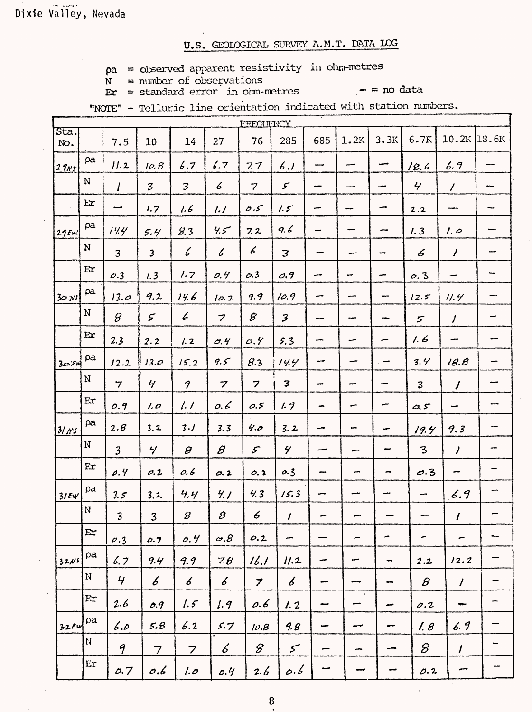$pa = observed apparent resistivity in ohm-metres$ 

 $N =$  number of observations  $Er = standard error in oim-metres$ 

 $-$  = no data

|                                 |                            |                         |                         |                            |                            | FREQUENCY               |                            |                          |                          |                          |                          |                             |       |
|---------------------------------|----------------------------|-------------------------|-------------------------|----------------------------|----------------------------|-------------------------|----------------------------|--------------------------|--------------------------|--------------------------|--------------------------|-----------------------------|-------|
| $\overline{\text{Sta.}}$<br>No. |                            | 7.5                     | 10                      | 14                         | 27                         | 76                      | 285                        | 685                      | 1.2K                     | 3.3K                     | 6.7K                     | $10.2K$ 18.6K               |       |
| 29ns                            | pa                         | 11.2                    | 10.8                    | 6.7                        | 6.7                        | 7.7                     | 6.1                        |                          |                          | مسد                      | 18.6                     | 6.9                         |       |
|                                 | N                          | $\prime$                | $\mathfrak{Z}$          | 3                          | 6                          | $\overline{z}$          | $\mathcal{F}$              | $\overline{\phantom{a}}$ |                          | معد                      | $\gamma$                 | $\prime$                    | يبسبه |
|                                 | Ex                         | سب                      | 1.7                     | 1.6                        | 1.1                        | 0.5                     | 1.5                        |                          |                          | ÷                        | 2.2                      |                             |       |
| 29EM                            | pa                         | 14.4                    | 5.4                     | 8.3                        | 4.5                        | 7.2                     | 9.6                        |                          |                          | ÷                        | 1.3                      | $l.$ $\circ$                | ÷     |
|                                 | ${\bf N}$                  | $\overline{\mathbf{3}}$ | $\overline{\mathbf{3}}$ | 6                          | $\boldsymbol{\mathcal{L}}$ | 6                       | $\overline{\mathbf{3}}$    | سد                       |                          | -                        | 6                        | $\overline{\phantom{a}}$    | سب    |
|                                 | E <b>r</b>                 | O.3                     | 1.3                     | 1.7                        | 0.4                        | 0.3                     | O.9                        |                          |                          |                          | 0.3                      | -                           | ⊷     |
| 30.75                           | pa                         | 13.0                    | 9.2                     | 14.6                       | 10.2                       | 9.9                     | 10.9                       | -                        |                          |                          | 12.5                     | 11.9                        | ÷     |
|                                 | N                          | $\beta$                 | $\mathcal{F}$           | 6                          | $\overline{\mathbf{z}}$    | $\mathcal{B}$           | $\mathcal{Z}$              | --                       |                          |                          | $\mathcal{F}$            | $\prime$                    | --    |
|                                 | Er                         | 2.3                     | 2.2                     | 1.2                        | O.4                        | O.9                     | 5.3                        | --                       |                          | -                        | 1.6                      |                             |       |
| $3c$ $\epsilon$ $\psi$          | pa                         | 12.2                    | 13.0                    | 15.2                       | 9.5                        | 8.3                     | 14.4                       | --                       | مسيد                     | $\overline{\phantom{a}}$ | 3.4/                     | 18.8                        |       |
|                                 | $\mathbf N$                | $\overline{7}$          | $\gamma$                | 9                          | $\overline{z}$             | $\overline{\mathbf{z}}$ | $\mathbf{3}$               | مب                       | $\bullet$<br>--          | ÷                        | $\mathbf{3}$             | $\overline{\phantom{a}}$    |       |
|                                 | Er                         | 0.9                     | 1.0                     | 1.1                        | 0.6                        | 0.5                     | 1.9                        | ÷                        | -                        | ∽                        | $\alpha$ 5               | ÷                           |       |
| 3115                            | ρa                         | 2.8                     | 3.2                     | 3.1                        | 3.3                        | 4.0                     | 3.2                        | -                        | -                        |                          | 19.4                     | 9.3                         | ÷     |
|                                 | N                          | $\overline{3}$          | $\frac{1}{\sqrt{2}}$    | $\boldsymbol{\beta}$       | $\mathcal{B}$              | $\mathcal{S}$           | $\gamma$                   | --                       |                          |                          | 3                        | $\mathcal{I}_{\mathcal{L}}$ |       |
|                                 | $\mathbf{E}$               | 0.4                     | $\rho$ .2               | 0.6                        | O.2                        | 0.2                     | 0.3                        | --                       | ∽                        |                          | 0.3                      |                             | ---   |
| $31$ EW                         | pa                         | 3.5                     | 3.2                     | 4,4                        | 4.1                        | 4.3                     | 15.3                       |                          |                          |                          | -                        | 6.9                         |       |
|                                 | ${\bf N}$                  | $\overline{\mathbf{3}}$ | $\overline{\mathbf{3}}$ | $\pmb{\mathcal{B}}$        | 8                          | 6                       | $\boldsymbol{\prime}$      |                          |                          |                          |                          | $\prime$                    |       |
|                                 | $\mathbf{E}$               | O.3                     | 0.7                     | 0.4                        | 6.8                        | O.2                     | ∽                          |                          | -                        | ∽                        | $\overline{\phantom{m}}$ | -                           | -     |
| 32N <sub>5</sub>                | pa                         | 6.7                     | 9.4                     | 9.9                        | 78                         | 16.1                    | 11.2                       | ÷                        | -                        | $\overline{\phantom{a}}$ | 2.2                      | 12.2                        | -     |
|                                 | $\mathbf N$                | 4 <sub>1</sub>          | 6                       | $\boldsymbol{\mathcal{L}}$ | $\boldsymbol{\mathcal{L}}$ | $\overline{z}$          | $\boldsymbol{\mathcal{L}}$ | -                        | $\overline{\phantom{a}}$ | -                        | 8                        | $\prime$                    |       |
|                                 | $\mathop{\rm Er}\nolimits$ | 2.6                     | O.9                     | $1.5^\circ$                | 1.9                        | 0.6                     | 1.2                        | $\overline{\phantom{a}}$ | $\bullet$<br>÷           | مب                       | 0.2                      | ÷                           | ÷     |
| 32EW                            | ρa                         | 6p                      | 5,8                     | 6.2                        | 5.7                        | 1D.B                    | 9.8                        | ÷                        | سب                       | ÷                        | 1.8                      | 6.9                         |       |
|                                 | $\mathbf{M}$               | $\mathcal{P}$           | $\overline{7}$          | $\overline{7}$             | 6                          | 8                       | $\mathcal{S}$              | --                       | ł                        | -                        | $\mathcal S$             | $\prime$                    | -     |
|                                 | $\mathop{\rm Er}\nolimits$ | 0.7                     | o.6                     | 1.0                        | o.4                        | 2.6                     | $\circ \cdot \circ$        | سہ                       |                          |                          | 0.2                      |                             | --    |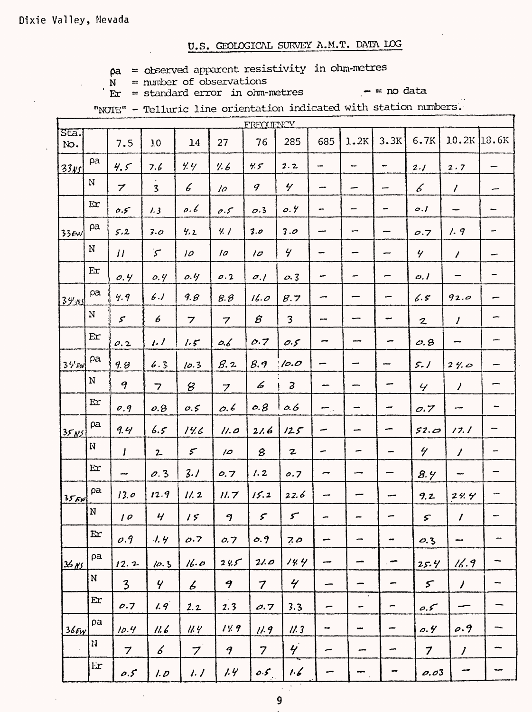$pa = observed apparent resistivity in ohm-metres$ 

 $N =$  number of observations  $\mathbf{r}$  = standard error in orm-metres

 $-$  = no data

"NOTE" - Telluric line orientation indicated with station numbers.

|                   |             |                            |                          |                            |                         | FREQUENCY               |                                  |                            |                          |                          |                         |                          |                          |
|-------------------|-------------|----------------------------|--------------------------|----------------------------|-------------------------|-------------------------|----------------------------------|----------------------------|--------------------------|--------------------------|-------------------------|--------------------------|--------------------------|
| $Sta.$<br>No.     |             | 7.5                        | 10                       | 14                         | 27                      | 76                      | 285                              | 685                        | 1.2K                     | 3.3K                     | 6.7K                    | 10.2K                    | 13.6K                    |
| <u>33 NS</u>      | pa          | 4.5                        | 7.6                      | 4.4                        | 4.6                     | 4.5                     | 2.2                              | -                          | --                       |                          | 2.1                     | 2.7                      | -                        |
|                   | $\mathbf N$ | $\overline{z}$             | $\mathbf{3}$             | 6                          | 10                      | 9                       | $\gamma$                         | --                         |                          | -                        | 6                       | $\prime$                 | مبير                     |
|                   | Er          | $0.5^{\circ}$              | 1.3                      | 0.6                        | $\rho.\mathcal{S}$      | O.3                     | 0.4                              | -                          |                          | -                        | o.l                     |                          |                          |
| $33$ EW           | pa          | 5.2                        | 3.0                      | 4.2                        | 4.1                     | 3.0                     | 3.0                              |                            |                          | $\overline{\phantom{m}}$ | O.7                     | 1.9                      |                          |
|                   | N           | $\boldsymbol{\mu}$         | $\zeta$                  | 10                         | 10                      | 10                      | 4                                | -                          |                          |                          | Y                       | $\prime$                 |                          |
|                   | Ex          | 0.4                        | 0.4                      | 0.4                        | 0.2                     | $\sigma$ ./             | 0.3                              | -                          |                          | -                        | O.1                     | $\overline{\phantom{0}}$ |                          |
| <u> 39 ns</u>     | pa          | 4.9                        | 6.1                      | 9.8                        | 8.8                     | 16.0                    | 8.7                              |                            |                          |                          | 6.5                     | 92.0                     |                          |
|                   | $\mathbf N$ | $\boldsymbol{\mathcal{S}}$ | 6                        | $\overline{z}$             | $\overline{\mathbf{z}}$ | $\mathcal{B}% _{0}$     | 3                                | --                         |                          | -                        | $\mathbf{z}$            | $\prime$                 | -                        |
|                   | Er          | 0.2                        | 1.1                      | 1.5                        | 0.6                     | 0.7                     | 0.5                              | ÷                          |                          | -                        | O.8                     | -                        |                          |
| $3\frac{L}{B}$ EW | $\rho$ a    | 9.8                        | 6.3                      | 10.3                       | 8.2                     | 8.9                     | 10.0                             | -                          |                          | ÷                        | 5.1                     | 24.0                     |                          |
|                   | $\mathbf N$ | 9                          | $\overline{\phantom{a}}$ | 8                          | $\overline{z}$          | 6                       | 3                                | --                         |                          |                          | $\overline{\mathbf{y}}$ | $\prime$                 |                          |
|                   | Er          | O.9                        | o.8                      | 0.5                        | 0.6                     | 0.8                     | 0.6                              | $\overline{\phantom{a}}$ . | $\blacksquare$           | -                        | O.7                     | --                       | -                        |
| 35N5              | pa          | 9.4                        | 6.5                      | 14.6                       | 11.0                    | 21.6                    | 12.5                             | -                          | سد                       | -                        | 52.02                   | 17.1                     |                          |
|                   | N           | $\boldsymbol{l}$           | $2-$                     | $\boldsymbol{\mathcal{F}}$ | $\overline{10}$         | 8                       | $\mathbf{z}$                     | ∽                          | -                        | -                        | $\gamma$                | $\overline{\prime}$      | -                        |
|                   | Ex          | ma a                       | 0.3                      | 3.1                        | 0.7                     | 1.2                     | 0.7                              | ∽                          | ---                      |                          | 8.4                     |                          |                          |
| 356x              | pa          | 13.0                       | 12.9                     | 11.2                       | 11.7                    | 15.2                    | 22.6                             | سد                         |                          | سب                       | 9.2                     | 24.4                     | ÷                        |
|                   | ${\bf N}$   | 10                         | $\boldsymbol{y}$         | 15                         | 9                       | $\mathcal{F}$           | $\mathcal{F}$                    |                            |                          |                          | $\varsigma$             | $\prime$                 |                          |
|                   | E x         | O.9                        | 1.4                      | 0.7                        | 0.7                     | 0.9                     | 70                               | ÷                          | -                        | $\overline{\phantom{a}}$ | 0.3                     | $\overline{\phantom{a}}$ |                          |
| $36$ NS           | ρa          | 12.2                       | 10.3                     | 16.0                       | 24.5                    | 21.0                    | 14.4                             | سب                         | ÷                        | $\overline{\phantom{0}}$ | 25.4                    | 16.9                     | -                        |
|                   | N           | $\overline{\mathbf{3}}$    | $\overline{Y}$           | $\boldsymbol{\mathcal{L}}$ | $\boldsymbol{q}$        | $\overline{\mathbf{z}}$ | $\gamma$                         | $\overline{\phantom{a}}$   | -                        | $\overline{\phantom{a}}$ | $\mathcal{S}$           | $\overline{1}$           | $\overline{\phantom{0}}$ |
|                   | $E$ r       | 0.7                        | 1.9                      | 2.2                        | 2.3                     | 0.7                     | 3.3                              | -                          | $\bullet$<br>-           | $\overline{\phantom{m}}$ | 0.5                     | --                       |                          |
| $36$ $F_y$        | pa          | 10.4                       | 11.6                     | 11.4                       | 14.9                    | 11.9                    | 11.3                             | $\overline{\phantom{a}}$   | $\overline{\phantom{a}}$ | -                        | 0.4                     | 0.9                      |                          |
|                   | N           | $\overline{7}$             | $\measuredangle$         | $\overline{7}$             | 9                       | $\overline{7}$          | $\boldsymbol{\dot{\mathcal{Y}}}$ | سر                         | ÷                        | ~                        | $\overline{7}$          | $\overline{I}$           |                          |
|                   | Er          | $\rho$ .5                  | 1.0                      | 1.7                        | 1.4                     | 0.5                     | 1.6                              |                            |                          |                          | 0.03                    | $\overline{\phantom{a}}$ | سبہ                      |

 $\overline{9}$ 

 $\sim 10^7$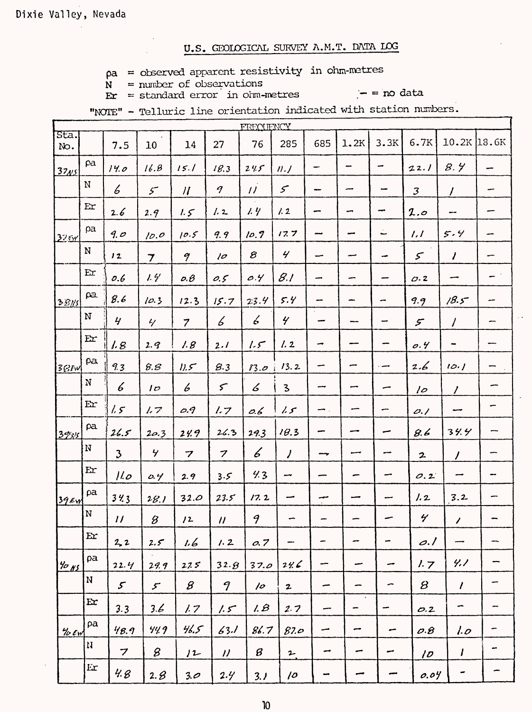$pa = observed apparent resistivity in ohm-metres$ 

 $\dot{N}$  = number of observations  $\mathbf{E} \mathbf{r} = \text{standard error}$  in orm-metres

 $-$  = no data

"NOTE" - Telluric line orientation indicated with station numbers.

|                  |                            |                            |                                                           |                   |                             | <b>FRECUENCY</b>     |                          |     |                |                          |                 |                          |       |
|------------------|----------------------------|----------------------------|-----------------------------------------------------------|-------------------|-----------------------------|----------------------|--------------------------|-----|----------------|--------------------------|-----------------|--------------------------|-------|
| Sta.<br>No.      |                            | 7.5                        | 10                                                        | 14                | 27                          | 76                   | 285                      | 685 | 1.2K           | 3.3K                     | 6.7K            | 10.2K                    | 18.6K |
| 37 <sub>N5</sub> | pa                         | 14.0                       | 16.8                                                      | 15.1              | 18.3                        | 245                  | nJ                       | -   | --             | ÷                        | 22.1            | 8.4                      |       |
|                  | ${\bf N}$                  | 6                          | $\mathcal{S}$                                             | $\mathcal{U}$     | $\boldsymbol{q}$            | $\overline{11}$      | $\mathcal{S}$            | --  | -              | w                        | 3               | $\prime$                 | --    |
|                  | Er                         | 2.6                        | 2.9                                                       | 1.5               | 1.2                         | 1.4                  | 1.2                      |     | ∽              | ⊷                        | 2.0             |                          |       |
| 325r             | pa                         | 9.0                        | 10.0                                                      | 10.5              | 9.9                         | 10.7                 | 17.7                     | --- |                | ت                        | 1.1             | 5.4                      |       |
|                  | N                          | 12                         | $\overline{\mathbf{z}}$                                   | 9                 | 10                          | $\mathcal{B}$        | $\gamma$                 | ÷   |                | ÷                        | $\mathcal{S}$   | $\prime$                 |       |
|                  | $\mathbf{E}$ r             | 0.6                        | 1.4                                                       | $\rho$ . $\theta$ | 0.5                         | 0.4                  | 8.1                      | -   |                |                          | 0.2             |                          |       |
| 38N              | $\beta a$                  | 8.6                        | 10.3                                                      | 12.3              | 15.7                        | 23.4                 | 5.4                      |     |                | ÷                        | 9.9             | 18.5                     |       |
|                  | ${\bf N}$                  | $\mathcal{L}$              | $\frac{2}{\sqrt{2}}$                                      | $\overline{7}$    | Ъ                           | Ъ                    | $\gamma$                 | -   |                |                          | $\mathcal{F}$   | $\prime$                 |       |
|                  | Ex                         | 1.8                        | 2.9                                                       | 1.8               | 2.1                         | 1.5                  | 1.2                      | ∽   |                |                          | $\sigma$ .4     |                          |       |
| $38$ Fw          | pa                         | 9.3                        | 8.8                                                       | 11.5              | 8.3                         | 83.0                 | 13.2                     | ÷   |                | مس .                     | 2.6             | 10.1                     |       |
|                  | $\mathbf{M}$               | 6                          | 1 <sub>D</sub>                                            | 6                 | $\mathcal{L}$               | 6                    | 3                        | --  |                |                          | $\sqrt{2}$      | $\prime$                 |       |
|                  | Er                         | 1.5                        | 1.7                                                       | O.9               | 1.7                         | 0.6                  | 1.5                      | ∽.  |                | ÷                        | O.1             |                          | -     |
| 3285             | pa                         | 26.5                       | 20.3                                                      | 24.9              | 26.3                        | 29.3                 | 18.3                     |     |                |                          | 8.6             | 34.4                     |       |
|                  | N                          | $\mathfrak{Z}$             | ヶ                                                         | 7                 | $\boldsymbol{z}$            | 6                    | $\overline{1}$           |     | سسہ            |                          | $\mathbf{z}$    | $\prime$                 |       |
|                  | Er                         | 110                        | 0.4                                                       | 2.9               | 3.5                         | 4.3                  | ÷                        |     | -              |                          | 0.2             |                          |       |
| $39$ EW          | pa                         | 343                        | 28.1                                                      | 32.0              | 23.5                        | 17.2                 | -                        |     |                |                          | 1.2             | 3.2                      |       |
|                  | $\mathbf N$                | $\boldsymbol{\mathcal{U}}$ | $\mathcal{B}% _{M_{1},M_{2}}^{\alpha,\beta}(\varepsilon)$ | 12                | $\boldsymbol{\prime\prime}$ | 9                    |                          |     |                |                          | $\gamma$        | $\overline{\phantom{a}}$ |       |
|                  | Er                         | 2, 2                       | 2.5                                                       | 1.6               | 1.2                         | 0.7                  | $\overline{\phantom{m}}$ | -   | -              | $\overline{\phantom{a}}$ | $\rho$ ./       | ---                      |       |
| $\frac{4}{5}$ NS | pa                         | 22.4                       | 29.9                                                      | 275               | 32.8                        | 37.0                 | 24.6                     | ÷   | معد            | -                        | 1.7             | 4.7                      |       |
|                  | N                          | $\mathcal{S}$              | $\mathcal{F}$                                             | $\mathcal{B}$     | 9                           | 10                   | $\mathbf{z}$             | سب  | -              | ∽                        | 8               | $\prime$                 |       |
|                  | Er                         | 3.3                        | 3.6                                                       | 1.7               | 1.5                         | 1.8                  | 2.7                      | --  | $\bullet$<br>- | ÷                        | O.2             | ∽                        | -     |
| 46cm             | pa                         | 48.9                       | 44.9                                                      | 46.5              | 63.1                        | 86.7                 | 87.0                     | مب  | سب             | سے                       | $O.\mathcal{B}$ | 1.0                      | ÷     |
|                  | $\boldsymbol{\mathcal{U}}$ | 7                          | 8                                                         | 12                | $\boldsymbol{\prime\prime}$ | $\boldsymbol{\beta}$ | $\mathfrak{p}$           | سہ  | سے             | مب                       | 10              | ı                        | -     |
|                  | Er                         | 4.8                        | 2.8                                                       | 3.0               | 2.4                         | 3.1                  | 10                       |     | سے             | سبب                      | 0.04            |                          | ÷     |

 $\boldsymbol{\eta}$